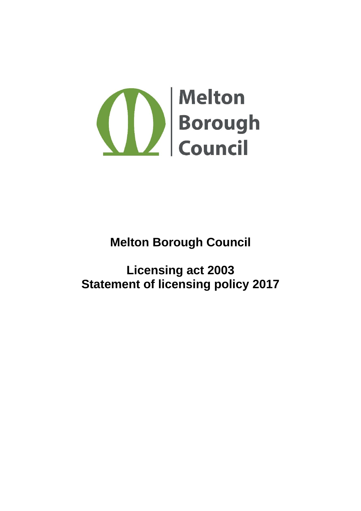

# **Melton Borough Council**

# **Licensing act 2003 Statement of licensing policy 2017**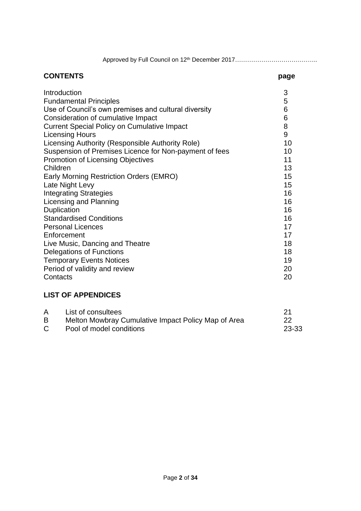Approved by Full Council on 12th December 2017…………………………………..

### **CONTENTS page** Introduction 3 Fundamental Principles 5 Use of Council's own premises and cultural diversity example of Council's own premises and cultural diversity Consideration of cumulative Impact 6 Current Special Policy on Cumulative Impact 8 Licensing Hours 9 Licensing Authority (Responsible Authority Role) 10 Suspension of Premises Licence for Non-payment of fees 10 Promotion of Licensing Objectives 11 Children 13 Early Morning Restriction Orders (EMRO) 15 Late Night Levy 15 Integrating Strategies 16 Licensing and Planning 16 Duplication 16 Standardised Conditions **16** and 16 Personal Licences 17<br>
Enforcement 17<br>
17 **Enforcement** Live Music, Dancing and Theatre 18 and 18 Delegations of Functions **18** Temporary Events Notices 19 and 19 Period of validity and review 20 Contacts 20

## **LIST OF APPENDICES**

| A  | List of consultees                                  | 21        |
|----|-----------------------------------------------------|-----------|
| B  | Melton Mowbray Cumulative Impact Policy Map of Area | 22        |
| C. | Pool of model conditions                            | $23 - 33$ |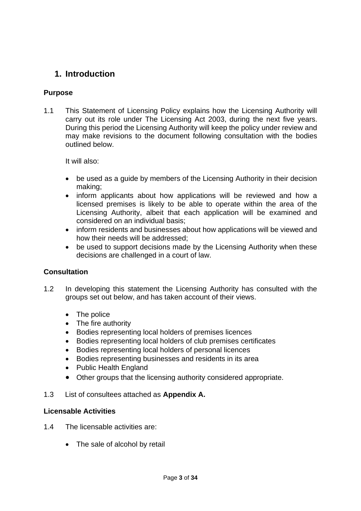## **1. Introduction**

## **Purpose**

1.1 This Statement of Licensing Policy explains how the Licensing Authority will carry out its role under The Licensing Act 2003, during the next five years. During this period the Licensing Authority will keep the policy under review and may make revisions to the document following consultation with the bodies outlined below.

It will also:

- be used as a guide by members of the Licensing Authority in their decision making;
- inform applicants about how applications will be reviewed and how a licensed premises is likely to be able to operate within the area of the Licensing Authority, albeit that each application will be examined and considered on an individual basis;
- inform residents and businesses about how applications will be viewed and how their needs will be addressed;
- be used to support decisions made by the Licensing Authority when these decisions are challenged in a court of law.

## **Consultation**

- 1.2 In developing this statement the Licensing Authority has consulted with the groups set out below, and has taken account of their views.
	- The police
	- The fire authority
	- Bodies representing local holders of premises licences
	- Bodies representing local holders of club premises certificates
	- Bodies representing local holders of personal licences
	- Bodies representing businesses and residents in its area
	- Public Health England
	- Other groups that the licensing authority considered appropriate.
- 1.3 List of consultees attached as **Appendix A.**

## **Licensable Activities**

- 1.4 The licensable activities are:
	- The sale of alcohol by retail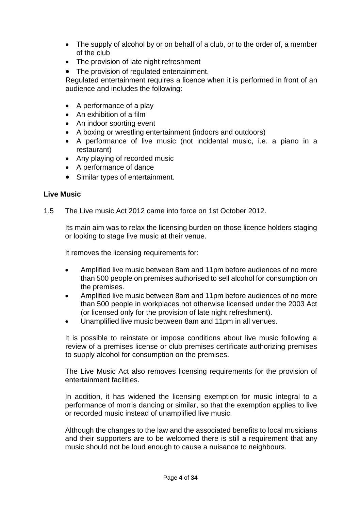- The supply of alcohol by or on behalf of a club, or to the order of, a member of the club
- The provision of late night refreshment
- The provision of regulated entertainment.

Regulated entertainment requires a licence when it is performed in front of an audience and includes the following:

- A performance of a play
- An exhibition of a film
- An indoor sporting event
- A boxing or wrestling entertainment (indoors and outdoors)
- A performance of live music (not incidental music, i.e. a piano in a restaurant)
- Any playing of recorded music
- A performance of dance
- Similar types of entertainment.

## **Live Music**

1.5 The Live music Act 2012 came into force on 1st October 2012.

Its main aim was to relax the licensing burden on those licence holders staging or looking to stage live music at their venue.

It removes the licensing requirements for:

- Amplified live music between 8am and 11pm before audiences of no more than 500 people on premises authorised to sell alcohol for consumption on the premises.
- Amplified live music between 8am and 11pm before audiences of no more than 500 people in workplaces not otherwise licensed under the 2003 Act (or licensed only for the provision of late night refreshment).
- Unamplified live music between 8am and 11pm in all venues.

It is possible to reinstate or impose conditions about live music following a review of a premises license or club premises certificate authorizing premises to supply alcohol for consumption on the premises.

The Live Music Act also removes licensing requirements for the provision of entertainment facilities.

In addition, it has widened the licensing exemption for music integral to a performance of morris dancing or similar, so that the exemption applies to live or recorded music instead of unamplified live music.

Although the changes to the law and the associated benefits to local musicians and their supporters are to be welcomed there is still a requirement that any music should not be loud enough to cause a nuisance to neighbours.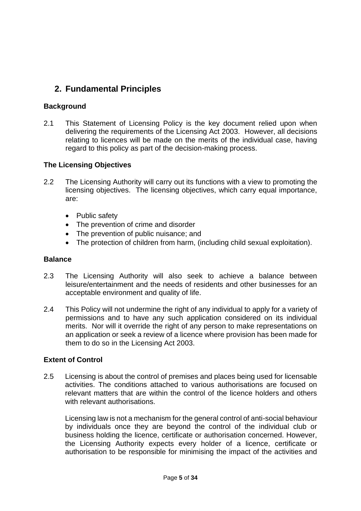## **2. Fundamental Principles**

## **Background**

2.1 This Statement of Licensing Policy is the key document relied upon when delivering the requirements of the Licensing Act 2003. However, all decisions relating to licences will be made on the merits of the individual case, having regard to this policy as part of the decision-making process.

### **The Licensing Objectives**

- 2.2 The Licensing Authority will carry out its functions with a view to promoting the licensing objectives. The licensing objectives, which carry equal importance, are:
	- Public safety
	- The prevention of crime and disorder
	- The prevention of public nuisance; and
	- The protection of children from harm, (including child sexual exploitation).

#### **Balance**

- 2.3 The Licensing Authority will also seek to achieve a balance between leisure/entertainment and the needs of residents and other businesses for an acceptable environment and quality of life.
- 2.4 This Policy will not undermine the right of any individual to apply for a variety of permissions and to have any such application considered on its individual merits. Nor will it override the right of any person to make representations on an application or seek a review of a licence where provision has been made for them to do so in the Licensing Act 2003.

#### **Extent of Control**

2.5 Licensing is about the control of premises and places being used for licensable activities. The conditions attached to various authorisations are focused on relevant matters that are within the control of the licence holders and others with relevant authorisations.

Licensing law is not a mechanism for the general control of anti-social behaviour by individuals once they are beyond the control of the individual club or business holding the licence, certificate or authorisation concerned. However, the Licensing Authority expects every holder of a licence, certificate or authorisation to be responsible for minimising the impact of the activities and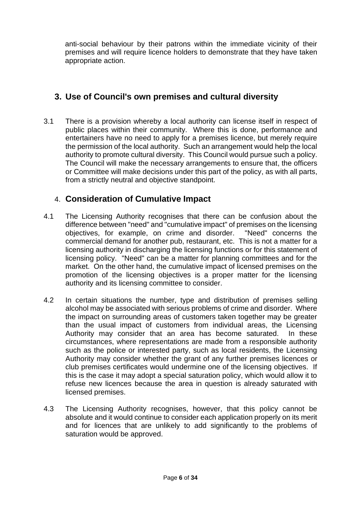anti-social behaviour by their patrons within the immediate vicinity of their premises and will require licence holders to demonstrate that they have taken appropriate action.

## **3. Use of Council's own premises and cultural diversity**

3.1 There is a provision whereby a local authority can license itself in respect of public places within their community. Where this is done, performance and entertainers have no need to apply for a premises licence, but merely require the permission of the local authority. Such an arrangement would help the local authority to promote cultural diversity. This Council would pursue such a policy. The Council will make the necessary arrangements to ensure that, the officers or Committee will make decisions under this part of the policy, as with all parts, from a strictly neutral and objective standpoint.

## 4. **Consideration of Cumulative Impact**

- 4.1 The Licensing Authority recognises that there can be confusion about the difference between "need" and "cumulative impact" of premises on the licensing objectives, for example, on crime and disorder. "Need" concerns the commercial demand for another pub, restaurant, etc. This is not a matter for a licensing authority in discharging the licensing functions or for this statement of licensing policy. "Need" can be a matter for planning committees and for the market. On the other hand, the cumulative impact of licensed premises on the promotion of the licensing objectives is a proper matter for the licensing authority and its licensing committee to consider.
- 4.2 In certain situations the number, type and distribution of premises selling alcohol may be associated with serious problems of crime and disorder. Where the impact on surrounding areas of customers taken together may be greater than the usual impact of customers from individual areas, the Licensing Authority may consider that an area has become saturated. In these circumstances, where representations are made from a responsible authority such as the police or interested party, such as local residents, the Licensing Authority may consider whether the grant of any further premises licences or club premises certificates would undermine one of the licensing objectives. If this is the case it may adopt a special saturation policy, which would allow it to refuse new licences because the area in question is already saturated with licensed premises.
- 4.3 The Licensing Authority recognises, however, that this policy cannot be absolute and it would continue to consider each application properly on its merit and for licences that are unlikely to add significantly to the problems of saturation would be approved.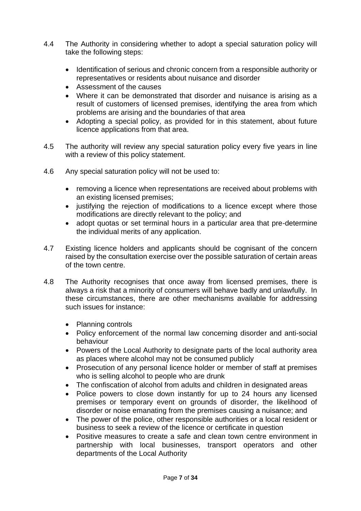- 4.4 The Authority in considering whether to adopt a special saturation policy will take the following steps:
	- Identification of serious and chronic concern from a responsible authority or representatives or residents about nuisance and disorder
	- Assessment of the causes
	- Where it can be demonstrated that disorder and nuisance is arising as a result of customers of licensed premises, identifying the area from which problems are arising and the boundaries of that area
	- Adopting a special policy, as provided for in this statement, about future licence applications from that area.
- 4.5 The authority will review any special saturation policy every five years in line with a review of this policy statement.
- 4.6 Any special saturation policy will not be used to:
	- removing a licence when representations are received about problems with an existing licensed premises;
	- justifying the rejection of modifications to a licence except where those modifications are directly relevant to the policy; and
	- adopt quotas or set terminal hours in a particular area that pre-determine the individual merits of any application.
- 4.7 Existing licence holders and applicants should be cognisant of the concern raised by the consultation exercise over the possible saturation of certain areas of the town centre.
- 4.8 The Authority recognises that once away from licensed premises, there is always a risk that a minority of consumers will behave badly and unlawfully. In these circumstances, there are other mechanisms available for addressing such issues for instance:
	- Planning controls
	- Policy enforcement of the normal law concerning disorder and anti-social behaviour
	- Powers of the Local Authority to designate parts of the local authority area as places where alcohol may not be consumed publicly
	- Prosecution of any personal licence holder or member of staff at premises who is selling alcohol to people who are drunk
	- The confiscation of alcohol from adults and children in designated areas
	- Police powers to close down instantly for up to 24 hours any licensed premises or temporary event on grounds of disorder, the likelihood of disorder or noise emanating from the premises causing a nuisance; and
	- The power of the police, other responsible authorities or a local resident or business to seek a review of the licence or certificate in question
	- Positive measures to create a safe and clean town centre environment in partnership with local businesses, transport operators and other departments of the Local Authority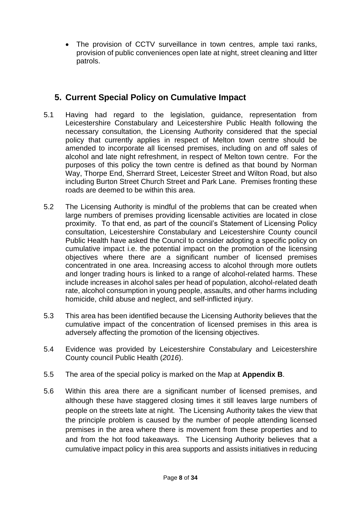• The provision of CCTV surveillance in town centres, ample taxi ranks, provision of public conveniences open late at night, street cleaning and litter patrols.

## **5. Current Special Policy on Cumulative Impact**

- 5.1 Having had regard to the legislation, guidance, representation from Leicestershire Constabulary and Leicestershire Public Health following the necessary consultation, the Licensing Authority considered that the special policy that currently applies in respect of Melton town centre should be amended to incorporate all licensed premises, including on and off sales of alcohol and late night refreshment, in respect of Melton town centre. For the purposes of this policy the town centre is defined as that bound by Norman Way, Thorpe End, Sherrard Street, Leicester Street and Wilton Road, but also including Burton Street Church Street and Park Lane. Premises fronting these roads are deemed to be within this area.
- 5.2 The Licensing Authority is mindful of the problems that can be created when large numbers of premises providing licensable activities are located in close proximity. To that end, as part of the council's Statement of Licensing Policy consultation, Leicestershire Constabulary and Leicestershire County council Public Health have asked the Council to consider adopting a specific policy on cumulative impact i.e. the potential impact on the promotion of the licensing objectives where there are a significant number of licensed premises concentrated in one area. Increasing access to alcohol through more outlets and longer trading hours is linked to a range of alcohol-related harms. These include increases in alcohol sales per head of population, alcohol-related death rate, alcohol consumption in young people, assaults, and other harms including homicide, child abuse and neglect, and self-inflicted injury.
- 5.3 This area has been identified because the Licensing Authority believes that the cumulative impact of the concentration of licensed premises in this area is adversely affecting the promotion of the licensing objectives.
- 5.4 Evidence was provided by Leicestershire Constabulary and Leicestershire County council Public Health (*2016*).
- 5.5 The area of the special policy is marked on the Map at **Appendix B**.
- 5.6 Within this area there are a significant number of licensed premises, and although these have staggered closing times it still leaves large numbers of people on the streets late at night. The Licensing Authority takes the view that the principle problem is caused by the number of people attending licensed premises in the area where there is movement from these properties and to and from the hot food takeaways. The Licensing Authority believes that a cumulative impact policy in this area supports and assists initiatives in reducing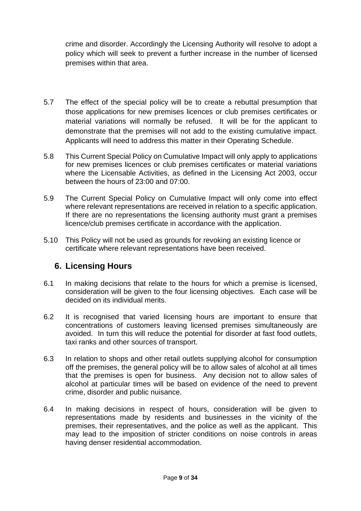crime and disorder. Accordingly the Licensing Authority will resolve to adopt a policy which will seek to prevent a further increase in the number of licensed premises within that area.

- 5.7 The effect of the special policy will be to create a rebuttal presumption that those applications for new premises licences or club premises certificates or material variations will normally be refused. It will be for the applicant to demonstrate that the premises will not add to the existing cumulative impact. Applicants will need to address this matter in their Operating Schedule.
- 5.8 This Current Special Policy on Cumulative Impact will only apply to applications for new premises licences or club premises certificates or material variations where the Licensable Activities, as defined in the Licensing Act 2003, occur between the hours of 23:00 and 07:00.
- 5.9 The Current Special Policy on Cumulative Impact will only come into effect where relevant representations are received in relation to a specific application. If there are no representations the licensing authority must grant a premises licence/club premises certificate in accordance with the application.
- 5.10 This Policy will not be used as grounds for revoking an existing licence or certificate where relevant representations have been received.

## **6. Licensing Hours**

- 6.1 In making decisions that relate to the hours for which a premise is licensed, consideration will be given to the four licensing objectives. Each case will be decided on its individual merits.
- 6.2 It is recognised that varied licensing hours are important to ensure that concentrations of customers leaving licensed premises simultaneously are avoided. In turn this will reduce the potential for disorder at fast food outlets, taxi ranks and other sources of transport.
- 6.3 In relation to shops and other retail outlets supplying alcohol for consumption off the premises, the general policy will be to allow sales of alcohol at all times that the premises is open for business. Any decision not to allow sales of alcohol at particular times will be based on evidence of the need to prevent crime, disorder and public nuisance.
- 6.4 In making decisions in respect of hours, consideration will be given to representations made by residents and businesses in the vicinity of the premises, their representatives, and the police as well as the applicant. This may lead to the imposition of stricter conditions on noise controls in areas having denser residential accommodation.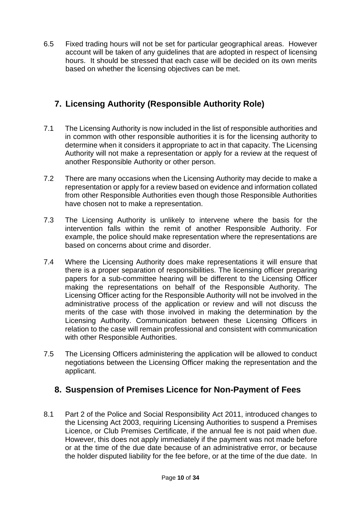6.5 Fixed trading hours will not be set for particular geographical areas. However account will be taken of any guidelines that are adopted in respect of licensing hours. It should be stressed that each case will be decided on its own merits based on whether the licensing objectives can be met.

## **7. Licensing Authority (Responsible Authority Role)**

- 7.1 The Licensing Authority is now included in the list of responsible authorities and in common with other responsible authorities it is for the licensing authority to determine when it considers it appropriate to act in that capacity. The Licensing Authority will not make a representation or apply for a review at the request of another Responsible Authority or other person.
- 7.2 There are many occasions when the Licensing Authority may decide to make a representation or apply for a review based on evidence and information collated from other Responsible Authorities even though those Responsible Authorities have chosen not to make a representation.
- 7.3 The Licensing Authority is unlikely to intervene where the basis for the intervention falls within the remit of another Responsible Authority. For example, the police should make representation where the representations are based on concerns about crime and disorder.
- 7.4 Where the Licensing Authority does make representations it will ensure that there is a proper separation of responsibilities. The licensing officer preparing papers for a sub-committee hearing will be different to the Licensing Officer making the representations on behalf of the Responsible Authority. The Licensing Officer acting for the Responsible Authority will not be involved in the administrative process of the application or review and will not discuss the merits of the case with those involved in making the determination by the Licensing Authority. Communication between these Licensing Officers in relation to the case will remain professional and consistent with communication with other Responsible Authorities.
- 7.5 The Licensing Officers administering the application will be allowed to conduct negotiations between the Licensing Officer making the representation and the applicant.

## **8. Suspension of Premises Licence for Non-Payment of Fees**

8.1 Part 2 of the Police and Social Responsibility Act 2011, introduced changes to the Licensing Act 2003, requiring Licensing Authorities to suspend a Premises Licence, or Club Premises Certificate, if the annual fee is not paid when due. However, this does not apply immediately if the payment was not made before or at the time of the due date because of an administrative error, or because the holder disputed liability for the fee before, or at the time of the due date. In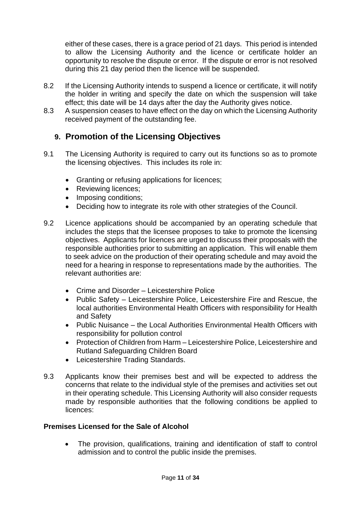either of these cases, there is a grace period of 21 days. This period is intended to allow the Licensing Authority and the licence or certificate holder an opportunity to resolve the dispute or error. If the dispute or error is not resolved during this 21 day period then the licence will be suspended.

- 8.2 If the Licensing Authority intends to suspend a licence or certificate, it will notify the holder in writing and specify the date on which the suspension will take effect; this date will be 14 days after the day the Authority gives notice.
- 8.3 A suspension ceases to have effect on the day on which the Licensing Authority received payment of the outstanding fee.

## **9. Promotion of the Licensing Objectives**

- 9.1 The Licensing Authority is required to carry out its functions so as to promote the licensing objectives. This includes its role in:
	- Granting or refusing applications for licences;
	- Reviewing licences;
	- Imposing conditions:
	- Deciding how to integrate its role with other strategies of the Council.
- 9.2 Licence applications should be accompanied by an operating schedule that includes the steps that the licensee proposes to take to promote the licensing objectives. Applicants for licences are urged to discuss their proposals with the responsible authorities prior to submitting an application. This will enable them to seek advice on the production of their operating schedule and may avoid the need for a hearing in response to representations made by the authorities. The relevant authorities are:
	- Crime and Disorder Leicestershire Police
	- Public Safety Leicestershire Police, Leicestershire Fire and Rescue, the local authorities Environmental Health Officers with responsibility for Health and Safety
	- Public Nuisance the Local Authorities Environmental Health Officers with responsibility for pollution control
	- Protection of Children from Harm Leicestershire Police, Leicestershire and Rutland Safeguarding Children Board
	- Leicestershire Trading Standards.
- 9.3 Applicants know their premises best and will be expected to address the concerns that relate to the individual style of the premises and activities set out in their operating schedule. This Licensing Authority will also consider requests made by responsible authorities that the following conditions be applied to licences:

#### **Premises Licensed for the Sale of Alcohol**

• The provision, qualifications, training and identification of staff to control admission and to control the public inside the premises.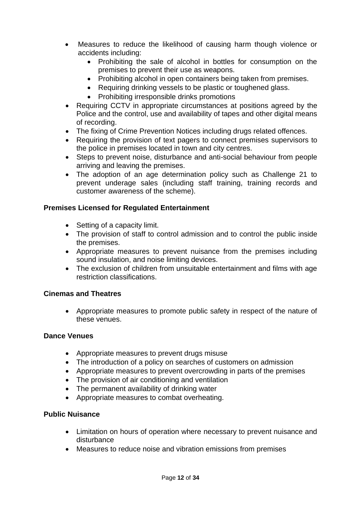- Measures to reduce the likelihood of causing harm though violence or accidents including:
	- Prohibiting the sale of alcohol in bottles for consumption on the premises to prevent their use as weapons.
	- Prohibiting alcohol in open containers being taken from premises.
	- Requiring drinking vessels to be plastic or toughened glass.
	- Prohibiting irresponsible drinks promotions
- Requiring CCTV in appropriate circumstances at positions agreed by the Police and the control, use and availability of tapes and other digital means of recording.
- The fixing of Crime Prevention Notices including drugs related offences.
- Requiring the provision of text pagers to connect premises supervisors to the police in premises located in town and city centres.
- Steps to prevent noise, disturbance and anti-social behaviour from people arriving and leaving the premises.
- The adoption of an age determination policy such as Challenge 21 to prevent underage sales (including staff training, training records and customer awareness of the scheme).

## **Premises Licensed for Regulated Entertainment**

- Setting of a capacity limit.
- The provision of staff to control admission and to control the public inside the premises.
- Appropriate measures to prevent nuisance from the premises including sound insulation, and noise limiting devices.
- The exclusion of children from unsuitable entertainment and films with age restriction classifications.

## **Cinemas and Theatres**

• Appropriate measures to promote public safety in respect of the nature of these venues.

#### **Dance Venues**

- Appropriate measures to prevent drugs misuse
- The introduction of a policy on searches of customers on admission
- Appropriate measures to prevent overcrowding in parts of the premises
- The provision of air conditioning and ventilation
- The permanent availability of drinking water
- Appropriate measures to combat overheating.

## **Public Nuisance**

- Limitation on hours of operation where necessary to prevent nuisance and disturbance
- Measures to reduce noise and vibration emissions from premises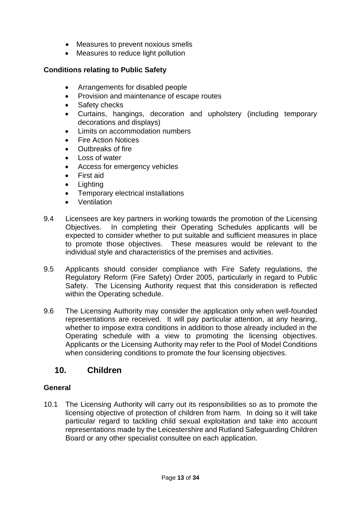- Measures to prevent noxious smells
- Measures to reduce light pollution

### **Conditions relating to Public Safety**

- Arrangements for disabled people
- Provision and maintenance of escape routes
- Safety checks
- Curtains, hangings, decoration and upholstery (including temporary decorations and displays)
- Limits on accommodation numbers
- Fire Action Notices
- Outbreaks of fire
- Loss of water
- Access for emergency vehicles
- First aid
- **Lighting**
- Temporary electrical installations
- Ventilation
- 9.4 Licensees are key partners in working towards the promotion of the Licensing Objectives. In completing their Operating Schedules applicants will be expected to consider whether to put suitable and sufficient measures in place to promote those objectives. These measures would be relevant to the individual style and characteristics of the premises and activities.
- 9.5 Applicants should consider compliance with Fire Safety regulations, the Regulatory Reform (Fire Safety) Order 2005, particularly in regard to Public Safety. The Licensing Authority request that this consideration is reflected within the Operating schedule.
- 9.6 The Licensing Authority may consider the application only when well-founded representations are received. It will pay particular attention, at any hearing, whether to impose extra conditions in addition to those already included in the Operating schedule with a view to promoting the licensing objectives. Applicants or the Licensing Authority may refer to the Pool of Model Conditions when considering conditions to promote the four licensing objectives.

## **10. Children**

#### **General**

10.1 The Licensing Authority will carry out its responsibilities so as to promote the licensing objective of protection of children from harm. In doing so it will take particular regard to tackling child sexual exploitation and take into account representations made by the Leicestershire and Rutland Safeguarding Children Board or any other specialist consultee on each application.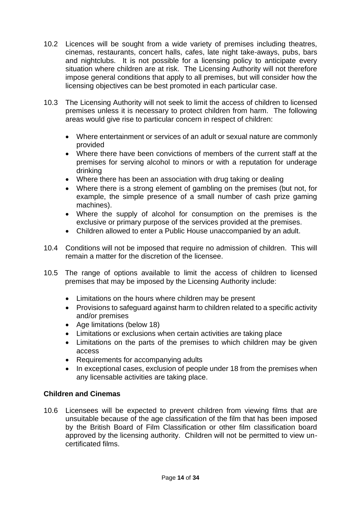- 10.2 Licences will be sought from a wide variety of premises including theatres, cinemas, restaurants, concert halls, cafes, late night take-aways, pubs, bars and nightclubs. It is not possible for a licensing policy to anticipate every situation where children are at risk. The Licensing Authority will not therefore impose general conditions that apply to all premises, but will consider how the licensing objectives can be best promoted in each particular case.
- 10.3 The Licensing Authority will not seek to limit the access of children to licensed premises unless it is necessary to protect children from harm. The following areas would give rise to particular concern in respect of children:
	- Where entertainment or services of an adult or sexual nature are commonly provided
	- Where there have been convictions of members of the current staff at the premises for serving alcohol to minors or with a reputation for underage drinking
	- Where there has been an association with drug taking or dealing
	- Where there is a strong element of gambling on the premises (but not, for example, the simple presence of a small number of cash prize gaming machines).
	- Where the supply of alcohol for consumption on the premises is the exclusive or primary purpose of the services provided at the premises.
	- Children allowed to enter a Public House unaccompanied by an adult.
- 10.4 Conditions will not be imposed that require no admission of children. This will remain a matter for the discretion of the licensee.
- 10.5 The range of options available to limit the access of children to licensed premises that may be imposed by the Licensing Authority include:
	- Limitations on the hours where children may be present
	- Provisions to safeguard against harm to children related to a specific activity and/or premises
	- Age limitations (below 18)
	- Limitations or exclusions when certain activities are taking place
	- Limitations on the parts of the premises to which children may be given access
	- Requirements for accompanying adults
	- In exceptional cases, exclusion of people under 18 from the premises when any licensable activities are taking place.

## **Children and Cinemas**

10.6 Licensees will be expected to prevent children from viewing films that are unsuitable because of the age classification of the film that has been imposed by the British Board of Film Classification or other film classification board approved by the licensing authority. Children will not be permitted to view uncertificated films.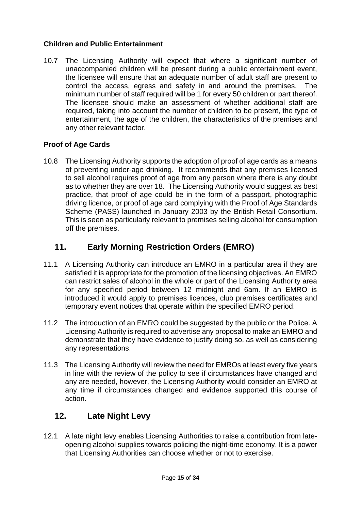## **Children and Public Entertainment**

10.7 The Licensing Authority will expect that where a significant number of unaccompanied children will be present during a public entertainment event, the licensee will ensure that an adequate number of adult staff are present to control the access, egress and safety in and around the premises. The minimum number of staff required will be 1 for every 50 children or part thereof. The licensee should make an assessment of whether additional staff are required, taking into account the number of children to be present, the type of entertainment, the age of the children, the characteristics of the premises and any other relevant factor.

## **Proof of Age Cards**

10.8 The Licensing Authority supports the adoption of proof of age cards as a means of preventing under-age drinking. It recommends that any premises licensed to sell alcohol requires proof of age from any person where there is any doubt as to whether they are over 18. The Licensing Authority would suggest as best practice, that proof of age could be in the form of a passport, photographic driving licence, or proof of age card complying with the Proof of Age Standards Scheme (PASS) launched in January 2003 by the British Retail Consortium. This is seen as particularly relevant to premises selling alcohol for consumption off the premises.

## **11. Early Morning Restriction Orders (EMRO)**

- 11.1 A Licensing Authority can introduce an EMRO in a particular area if they are satisfied it is appropriate for the promotion of the licensing objectives. An EMRO can restrict sales of alcohol in the whole or part of the Licensing Authority area for any specified period between 12 midnight and 6am. If an EMRO is introduced it would apply to premises licences, club premises certificates and temporary event notices that operate within the specified EMRO period.
- 11.2 The introduction of an EMRO could be suggested by the public or the Police. A Licensing Authority is required to advertise any proposal to make an EMRO and demonstrate that they have evidence to justify doing so, as well as considering any representations.
- 11.3 The Licensing Authority will review the need for EMROs at least every five years in line with the review of the policy to see if circumstances have changed and any are needed, however, the Licensing Authority would consider an EMRO at any time if circumstances changed and evidence supported this course of action.

## **12. Late Night Levy**

12.1 A late night levy enables Licensing Authorities to raise a contribution from lateopening alcohol supplies towards policing the night-time economy. It is a power that Licensing Authorities can choose whether or not to exercise.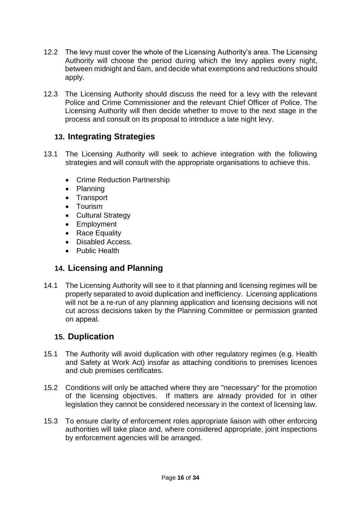- 12.2 The levy must cover the whole of the Licensing Authority's area. The Licensing Authority will choose the period during which the levy applies every night, between midnight and 6am, and decide what exemptions and reductions should apply.
- 12.3 The Licensing Authority should discuss the need for a levy with the relevant Police and Crime Commissioner and the relevant Chief Officer of Police. The Licensing Authority will then decide whether to move to the next stage in the process and consult on its proposal to introduce a late night levy.

## **13. Integrating Strategies**

- 13.1 The Licensing Authority will seek to achieve integration with the following strategies and will consult with the appropriate organisations to achieve this.
	- Crime Reduction Partnership
	- Planning
	- Transport
	- Tourism
	- Cultural Strategy
	- Employment
	- Race Equality
	- Disabled Access.
	- Public Health

## **14. Licensing and Planning**

14.1 The Licensing Authority will see to it that planning and licensing regimes will be properly separated to avoid duplication and inefficiency. Licensing applications will not be a re-run of any planning application and licensing decisions will not cut across decisions taken by the Planning Committee or permission granted on appeal.

## **15. Duplication**

- 15.1 The Authority will avoid duplication with other regulatory regimes (e.g. Health and Safety at Work Act) insofar as attaching conditions to premises licences and club premises certificates.
- 15.2 Conditions will only be attached where they are "necessary" for the promotion of the licensing objectives. If matters are already provided for in other legislation they cannot be considered necessary in the context of licensing law.
- 15.3 To ensure clarity of enforcement roles appropriate liaison with other enforcing authorities will take place and, where considered appropriate, joint inspections by enforcement agencies will be arranged.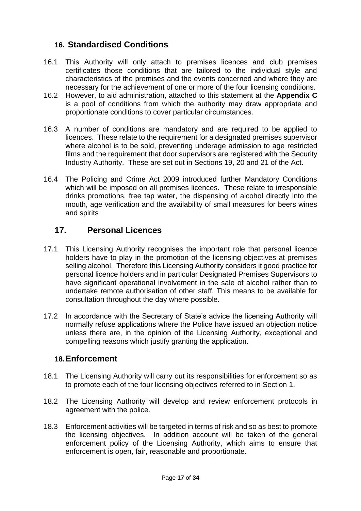## **16. Standardised Conditions**

- 16.1 This Authority will only attach to premises licences and club premises certificates those conditions that are tailored to the individual style and characteristics of the premises and the events concerned and where they are necessary for the achievement of one or more of the four licensing conditions.
- 16.2 However, to aid administration, attached to this statement at the **Appendix C**  is a pool of conditions from which the authority may draw appropriate and proportionate conditions to cover particular circumstances.
- 16.3 A number of conditions are mandatory and are required to be applied to licences. These relate to the requirement for a designated premises supervisor where alcohol is to be sold, preventing underage admission to age restricted films and the requirement that door supervisors are registered with the Security Industry Authority. These are set out in Sections 19, 20 and 21 of the Act.
- 16.4 The Policing and Crime Act 2009 introduced further Mandatory Conditions which will be imposed on all premises licences. These relate to irresponsible drinks promotions, free tap water, the dispensing of alcohol directly into the mouth, age verification and the availability of small measures for beers wines and spirits

## **17. Personal Licences**

- 17.1 This Licensing Authority recognises the important role that personal licence holders have to play in the promotion of the licensing objectives at premises selling alcohol. Therefore this Licensing Authority considers it good practice for personal licence holders and in particular Designated Premises Supervisors to have significant operational involvement in the sale of alcohol rather than to undertake remote authorisation of other staff. This means to be available for consultation throughout the day where possible.
- 17.2 In accordance with the Secretary of State's advice the licensing Authority will normally refuse applications where the Police have issued an objection notice unless there are, in the opinion of the Licensing Authority, exceptional and compelling reasons which justify granting the application.

## **18.Enforcement**

- 18.1 The Licensing Authority will carry out its responsibilities for enforcement so as to promote each of the four licensing objectives referred to in Section 1.
- 18.2 The Licensing Authority will develop and review enforcement protocols in agreement with the police.
- 18.3 Enforcement activities will be targeted in terms of risk and so as best to promote the licensing objectives. In addition account will be taken of the general enforcement policy of the Licensing Authority, which aims to ensure that enforcement is open, fair, reasonable and proportionate.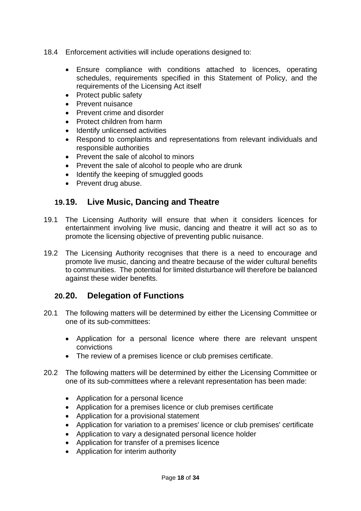- 18.4 Enforcement activities will include operations designed to:
	- Ensure compliance with conditions attached to licences, operating schedules, requirements specified in this Statement of Policy, and the requirements of the Licensing Act itself
	- Protect public safety
	- Prevent nuisance
	- Prevent crime and disorder
	- Protect children from harm
	- Identify unlicensed activities
	- Respond to complaints and representations from relevant individuals and responsible authorities
	- Prevent the sale of alcohol to minors
	- Prevent the sale of alcohol to people who are drunk
	- Identify the keeping of smuggled goods
	- Prevent drug abuse.

## **19.19. Live Music, Dancing and Theatre**

- 19.1 The Licensing Authority will ensure that when it considers licences for entertainment involving live music, dancing and theatre it will act so as to promote the licensing objective of preventing public nuisance.
- 19.2 The Licensing Authority recognises that there is a need to encourage and promote live music, dancing and theatre because of the wider cultural benefits to communities. The potential for limited disturbance will therefore be balanced against these wider benefits.

## **20.20. Delegation of Functions**

- 20.1 The following matters will be determined by either the Licensing Committee or one of its sub-committees:
	- Application for a personal licence where there are relevant unspent convictions
	- The review of a premises licence or club premises certificate.
- 20.2 The following matters will be determined by either the Licensing Committee or one of its sub-committees where a relevant representation has been made:
	- Application for a personal licence
	- Application for a premises licence or club premises certificate
	- Application for a provisional statement
	- Application for variation to a premises' licence or club premises' certificate
	- Application to vary a designated personal licence holder
	- Application for transfer of a premises licence
	- Application for interim authority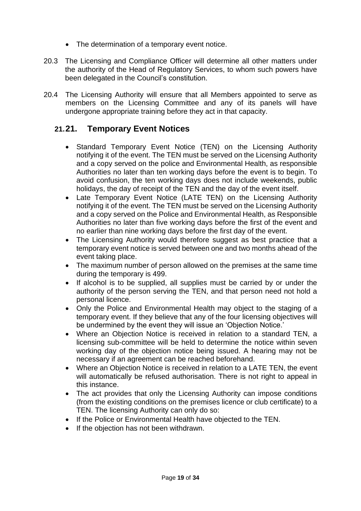- The determination of a temporary event notice.
- 20.3 The Licensing and Compliance Officer will determine all other matters under the authority of the Head of Regulatory Services, to whom such powers have been delegated in the Council's constitution.
- 20.4 The Licensing Authority will ensure that all Members appointed to serve as members on the Licensing Committee and any of its panels will have undergone appropriate training before they act in that capacity.

## **21.21. Temporary Event Notices**

- Standard Temporary Event Notice (TEN) on the Licensing Authority notifying it of the event. The TEN must be served on the Licensing Authority and a copy served on the police and Environmental Health, as responsible Authorities no later than ten working days before the event is to begin. To avoid confusion, the ten working days does not include weekends, public holidays, the day of receipt of the TEN and the day of the event itself.
- Late Temporary Event Notice (LATE TEN) on the Licensing Authority notifying it of the event. The TEN must be served on the Licensing Authority and a copy served on the Police and Environmental Health, as Responsible Authorities no later than five working days before the first of the event and no earlier than nine working days before the first day of the event.
- The Licensing Authority would therefore suggest as best practice that a temporary event notice is served between one and two months ahead of the event taking place.
- The maximum number of person allowed on the premises at the same time during the temporary is 499.
- If alcohol is to be supplied, all supplies must be carried by or under the authority of the person serving the TEN, and that person need not hold a personal licence.
- Only the Police and Environmental Health may object to the staging of a temporary event. If they believe that any of the four licensing objectives will be undermined by the event they will issue an 'Objection Notice.'
- Where an Objection Notice is received in relation to a standard TEN, a licensing sub-committee will be held to determine the notice within seven working day of the objection notice being issued. A hearing may not be necessary if an agreement can be reached beforehand.
- Where an Objection Notice is received in relation to a LATE TEN, the event will automatically be refused authorisation. There is not right to appeal in this instance.
- The act provides that only the Licensing Authority can impose conditions (from the existing conditions on the premises licence or club certificate) to a TEN. The licensing Authority can only do so:
- If the Police or Environmental Health have objected to the TEN.
- If the objection has not been withdrawn.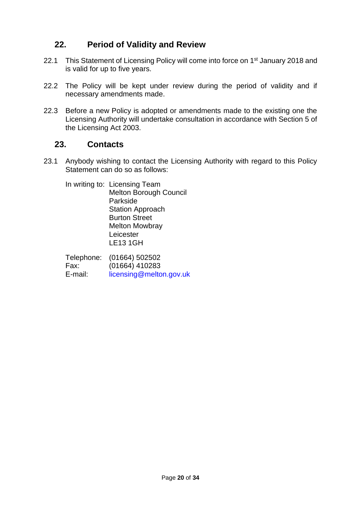## **22. Period of Validity and Review**

- 22.1 This Statement of Licensing Policy will come into force on 1<sup>st</sup> January 2018 and is valid for up to five years.
- 22.2 The Policy will be kept under review during the period of validity and if necessary amendments made.
- 22.3 Before a new Policy is adopted or amendments made to the existing one the Licensing Authority will undertake consultation in accordance with Section 5 of the Licensing Act 2003.

## **23. Contacts**

23.1 Anybody wishing to contact the Licensing Authority with regard to this Policy Statement can do so as follows:

In writing to: Licensing Team Melton Borough Council Parkside Station Approach Burton Street Melton Mowbray Leicester LE13 1GH

Telephone: (01664) 502502 Fax: (01664) 410283 E-mail: [licensing@melton.gov.uk](mailto:licensing@melton.gov.uk)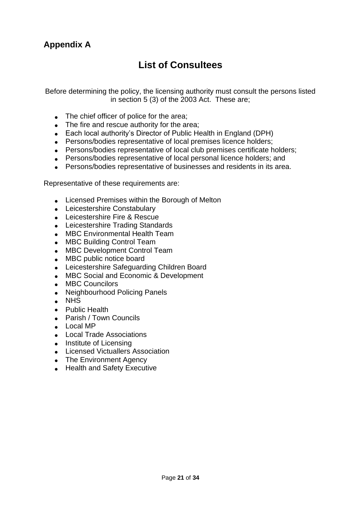## **List of Consultees**

Before determining the policy, the licensing authority must consult the persons listed in section 5 (3) of the 2003 Act. These are;

- The chief officer of police for the area;
- The fire and rescue authority for the area;
- Each local authority's Director of Public Health in England (DPH)
- Persons/bodies representative of local premises licence holders;
- Persons/bodies representative of local club premises certificate holders:
- Persons/bodies representative of local personal licence holders; and
- Persons/bodies representative of businesses and residents in its area.

Representative of these requirements are:

- Licensed Premises within the Borough of Melton
- Leicestershire Constabulary
- Leicestershire Fire & Rescue
- Leicestershire Trading Standards
- MBC Environmental Health Team
- MBC Building Control Team
- MBC Development Control Team
- MBC public notice board
- Leicestershire Safeguarding Children Board
- MBC Social and Economic & Development
- MBC Councilors
- Neighbourhood Policing Panels
- NHS
- Public Health
- Parish / Town Councils
- Local MP
- Local Trade Associations
- Institute of Licensing
- Licensed Victuallers Association
- The Environment Agency
- Health and Safety Executive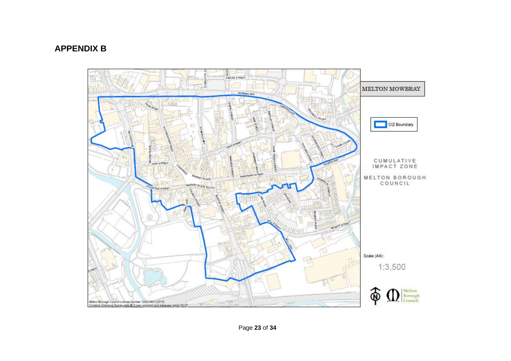## **APPENDIX B**



Page **23** of **34**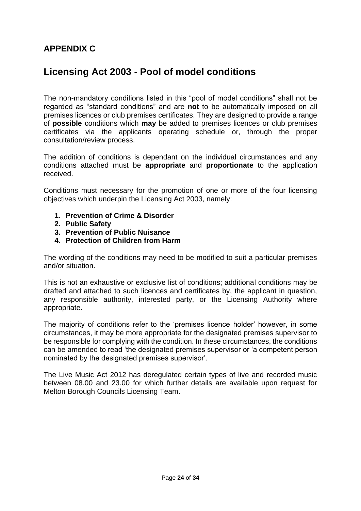## **APPENDIX C**

## **Licensing Act 2003 - Pool of model conditions**

The non-mandatory conditions listed in this "pool of model conditions" shall not be regarded as "standard conditions" and are **not** to be automatically imposed on all premises licences or club premises certificates. They are designed to provide a range of **possible** conditions which **may** be added to premises licences or club premises certificates via the applicants operating schedule or, through the proper consultation/review process.

The addition of conditions is dependant on the individual circumstances and any conditions attached must be **appropriate** and **proportionate** to the application received.

Conditions must necessary for the promotion of one or more of the four licensing objectives which underpin the Licensing Act 2003, namely:

- **1. Prevention of Crime & Disorder**
- **2. Public Safety**
- **3. Prevention of Public Nuisance**
- **4. Protection of Children from Harm**

The wording of the conditions may need to be modified to suit a particular premises and/or situation.

This is not an exhaustive or exclusive list of conditions; additional conditions may be drafted and attached to such licences and certificates by, the applicant in question, any responsible authority, interested party, or the Licensing Authority where appropriate.

The majority of conditions refer to the 'premises licence holder' however, in some circumstances, it may be more appropriate for the designated premises supervisor to be responsible for complying with the condition. In these circumstances, the conditions can be amended to read 'the designated premises supervisor or 'a competent person nominated by the designated premises supervisor'.

The Live Music Act 2012 has deregulated certain types of live and recorded music between 08.00 and 23.00 for which further details are available upon request for Melton Borough Councils Licensing Team.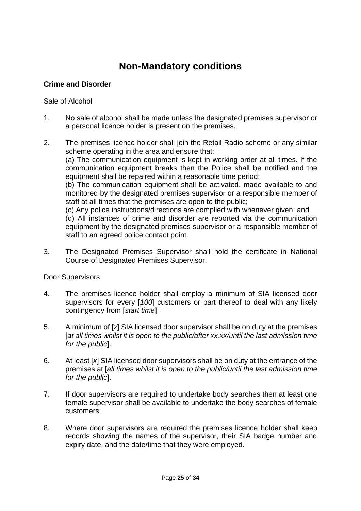## **Non-Mandatory conditions**

## **Crime and Disorder**

#### Sale of Alcohol

- 1. No sale of alcohol shall be made unless the designated premises supervisor or a personal licence holder is present on the premises.
- 2. The premises licence holder shall join the Retail Radio scheme or any similar scheme operating in the area and ensure that: (a) The communication equipment is kept in working order at all times. If the communication equipment breaks then the Police shall be notified and the equipment shall be repaired within a reasonable time period; (b) The communication equipment shall be activated, made available to and monitored by the designated premises supervisor or a responsible member of staff at all times that the premises are open to the public; (c) Any police instructions/directions are complied with whenever given; and (d) All instances of crime and disorder are reported via the communication equipment by the designated premises supervisor or a responsible member of staff to an agreed police contact point.
- 3. The Designated Premises Supervisor shall hold the certificate in National Course of Designated Premises Supervisor.

#### Door Supervisors

- 4. The premises licence holder shall employ a minimum of SIA licensed door supervisors for every [*100*] customers or part thereof to deal with any likely contingency from [*start time*].
- 5. A minimum of [*x*] SIA licensed door supervisor shall be on duty at the premises [*at all times whilst it is open to the public/after xx.xx/until the last admission time for the public*].
- 6. At least [*x*] SIA licensed door supervisors shall be on duty at the entrance of the premises at [*all times whilst it is open to the public/until the last admission time for the public*].
- 7. If door supervisors are required to undertake body searches then at least one female supervisor shall be available to undertake the body searches of female customers.
- 8. Where door supervisors are required the premises licence holder shall keep records showing the names of the supervisor, their SIA badge number and expiry date, and the date/time that they were employed.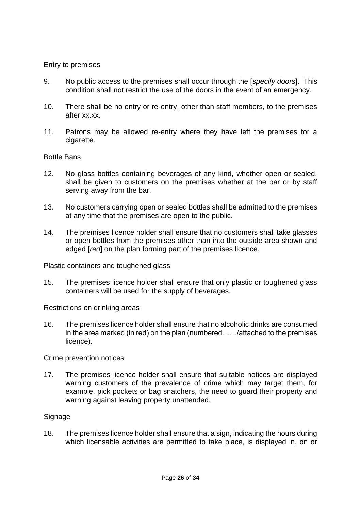#### Entry to premises

- 9. No public access to the premises shall occur through the [*specify doors*]. This condition shall not restrict the use of the doors in the event of an emergency.
- 10. There shall be no entry or re-entry, other than staff members, to the premises after xx.xx.
- 11. Patrons may be allowed re-entry where they have left the premises for a cigarette.

#### Bottle Bans

- 12. No glass bottles containing beverages of any kind, whether open or sealed, shall be given to customers on the premises whether at the bar or by staff serving away from the bar.
- 13. No customers carrying open or sealed bottles shall be admitted to the premises at any time that the premises are open to the public.
- 14. The premises licence holder shall ensure that no customers shall take glasses or open bottles from the premises other than into the outside area shown and edged [*red*] on the plan forming part of the premises licence.

Plastic containers and toughened glass

15. The premises licence holder shall ensure that only plastic or toughened glass containers will be used for the supply of beverages.

Restrictions on drinking areas

16. The premises licence holder shall ensure that no alcoholic drinks are consumed in the area marked (in red) on the plan (numbered……/attached to the premises licence).

#### Crime prevention notices

17. The premises licence holder shall ensure that suitable notices are displayed warning customers of the prevalence of crime which may target them, for example, pick pockets or bag snatchers, the need to guard their property and warning against leaving property unattended.

#### **Signage**

18. The premises licence holder shall ensure that a sign, indicating the hours during which licensable activities are permitted to take place, is displayed in, on or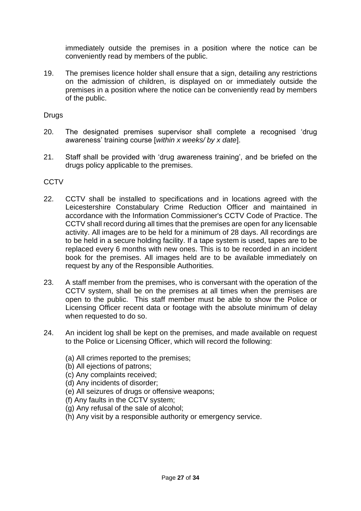immediately outside the premises in a position where the notice can be conveniently read by members of the public.

19. The premises licence holder shall ensure that a sign, detailing any restrictions on the admission of children, is displayed on or immediately outside the premises in a position where the notice can be conveniently read by members of the public.

Drugs

- 20. The designated premises supervisor shall complete a recognised 'drug awareness' training course [*within x weeks/ by x date*].
- 21. Staff shall be provided with 'drug awareness training', and be briefed on the drugs policy applicable to the premises.

## **CCTV**

- 22. CCTV shall be installed to specifications and in locations agreed with the Leicestershire Constabulary Crime Reduction Officer and maintained in accordance with the Information Commissioner's CCTV Code of Practice. The CCTV shall record during all times that the premises are open for any licensable activity. All images are to be held for a minimum of 28 days. All recordings are to be held in a secure holding facility. If a tape system is used, tapes are to be replaced every 6 months with new ones. This is to be recorded in an incident book for the premises. All images held are to be available immediately on request by any of the Responsible Authorities.
- 23. A staff member from the premises, who is conversant with the operation of the CCTV system, shall be on the premises at all times when the premises are open to the public. This staff member must be able to show the Police or Licensing Officer recent data or footage with the absolute minimum of delay when requested to do so.
- 24. An incident log shall be kept on the premises, and made available on request to the Police or Licensing Officer, which will record the following:
	- (a) All crimes reported to the premises;
	- (b) All ejections of patrons;
	- (c) Any complaints received;
	- (d) Any incidents of disorder;
	- (e) All seizures of drugs or offensive weapons;
	- (f) Any faults in the CCTV system;
	- (g) Any refusal of the sale of alcohol;
	- (h) Any visit by a responsible authority or emergency service.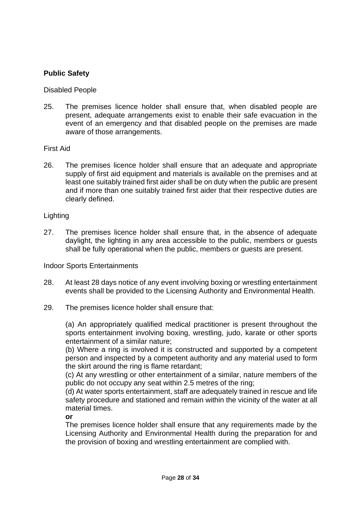## **Public Safety**

#### Disabled People

25. The premises licence holder shall ensure that, when disabled people are present, adequate arrangements exist to enable their safe evacuation in the event of an emergency and that disabled people on the premises are made aware of those arrangements.

#### First Aid

26. The premises licence holder shall ensure that an adequate and appropriate supply of first aid equipment and materials is available on the premises and at least one suitably trained first aider shall be on duty when the public are present and if more than one suitably trained first aider that their respective duties are clearly defined.

#### Lighting

27. The premises licence holder shall ensure that, in the absence of adequate daylight, the lighting in any area accessible to the public, members or guests shall be fully operational when the public, members or guests are present.

#### Indoor Sports Entertainments

- 28. At least 28 days notice of any event involving boxing or wrestling entertainment events shall be provided to the Licensing Authority and Environmental Health.
- 29. The premises licence holder shall ensure that:

(a) An appropriately qualified medical practitioner is present throughout the sports entertainment involving boxing, wrestling, judo, karate or other sports entertainment of a similar nature;

(b) Where a ring is involved it is constructed and supported by a competent person and inspected by a competent authority and any material used to form the skirt around the ring is flame retardant;

(c) At any wrestling or other entertainment of a similar, nature members of the public do not occupy any seat within 2.5 metres of the ring;

(d) At water sports entertainment, staff are adequately trained in rescue and life safety procedure and stationed and remain within the vicinity of the water at all material times.

**or**

The premises licence holder shall ensure that any requirements made by the Licensing Authority and Environmental Health during the preparation for and the provision of boxing and wrestling entertainment are complied with.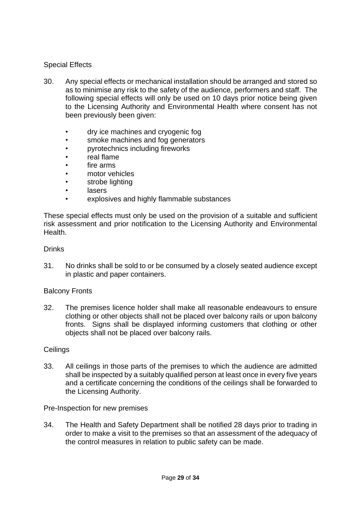## Special Effects

- 30. Any special effects or mechanical installation should be arranged and stored so as to minimise any risk to the safety of the audience, performers and staff. The following special effects will only be used on 10 days prior notice being given to the Licensing Authority and Environmental Health where consent has not been previously been given:
	- dry ice machines and cryogenic fog
	- smoke machines and fog generators
	- pyrotechnics including fireworks
	- real flame
	- fire arms
	- motor vehicles
	- strobe lighting
	- lasers
	- explosives and highly flammable substances

These special effects must only be used on the provision of a suitable and sufficient risk assessment and prior notification to the Licensing Authority and Environmental **Health** 

#### Drinks

31. No drinks shall be sold to or be consumed by a closely seated audience except in plastic and paper containers.

#### Balcony Fronts

32. The premises licence holder shall make all reasonable endeavours to ensure clothing or other objects shall not be placed over balcony rails or upon balcony fronts. Signs shall be displayed informing customers that clothing or other objects shall not be placed over balcony rails.

#### **Ceilings**

33. All ceilings in those parts of the premises to which the audience are admitted shall be inspected by a suitably qualified person at least once in every five years and a certificate concerning the conditions of the ceilings shall be forwarded to the Licensing Authority.

#### Pre-Inspection for new premises

34. The Health and Safety Department shall be notified 28 days prior to trading in order to make a visit to the premises so that an assessment of the adequacy of the control measures in relation to public safety can be made.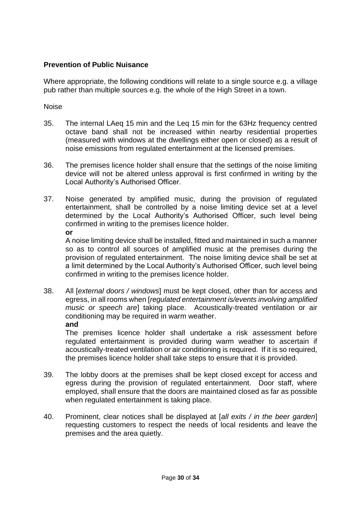## **Prevention of Public Nuisance**

Where appropriate, the following conditions will relate to a single source e.g. a village pub rather than multiple sources e.g. the whole of the High Street in a town.

Noise

- 35. The internal LAeq 15 min and the Leq 15 min for the 63Hz frequency centred octave band shall not be increased within nearby residential properties (measured with windows at the dwellings either open or closed) as a result of noise emissions from regulated entertainment at the licensed premises.
- 36. The premises licence holder shall ensure that the settings of the noise limiting device will not be altered unless approval is first confirmed in writing by the Local Authority's Authorised Officer.
- 37. Noise generated by amplified music, during the provision of regulated entertainment, shall be controlled by a noise limiting device set at a level determined by the Local Authority's Authorised Officer, such level being confirmed in writing to the premises licence holder. **or**

A noise limiting device shall be installed, fitted and maintained in such a manner so as to control all sources of amplified music at the premises during the provision of regulated entertainment. The noise limiting device shall be set at a limit determined by the Local Authority's Authorised Officer, such level being confirmed in writing to the premises licence holder.

38. All [*external doors / windows*] must be kept closed, other than for access and egress, in all rooms when [*regulated entertainment is/events involving amplified music or speech are*] taking place. Acoustically-treated ventilation or air conditioning may be required in warm weather. **and**

The premises licence holder shall undertake a risk assessment before regulated entertainment is provided during warm weather to ascertain if acoustically-treated ventilation or air conditioning is required. If it is so required, the premises licence holder shall take steps to ensure that it is provided.

- 39. The lobby doors at the premises shall be kept closed except for access and egress during the provision of regulated entertainment. Door staff, where employed, shall ensure that the doors are maintained closed as far as possible when regulated entertainment is taking place.
- 40. Prominent, clear notices shall be displayed at [*all exits / in the beer garden*] requesting customers to respect the needs of local residents and leave the premises and the area quietly.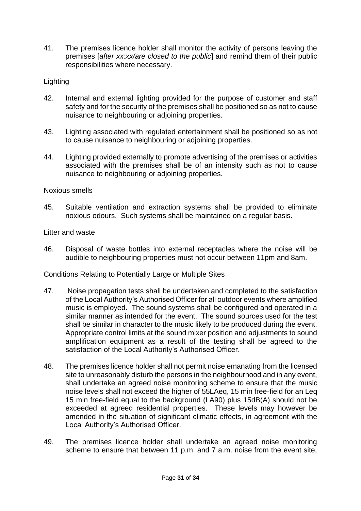41. The premises licence holder shall monitor the activity of persons leaving the premises [*after xx:xx/are closed to the public*] and remind them of their public responsibilities where necessary.

## **Lighting**

- 42. Internal and external lighting provided for the purpose of customer and staff safety and for the security of the premises shall be positioned so as not to cause nuisance to neighbouring or adjoining properties.
- 43. Lighting associated with regulated entertainment shall be positioned so as not to cause nuisance to neighbouring or adjoining properties.
- 44. Lighting provided externally to promote advertising of the premises or activities associated with the premises shall be of an intensity such as not to cause nuisance to neighbouring or adjoining properties.

## Noxious smells

45. Suitable ventilation and extraction systems shall be provided to eliminate noxious odours. Such systems shall be maintained on a regular basis.

### Litter and waste

46. Disposal of waste bottles into external receptacles where the noise will be audible to neighbouring properties must not occur between 11pm and 8am.

Conditions Relating to Potentially Large or Multiple Sites

- 47. Noise propagation tests shall be undertaken and completed to the satisfaction of the Local Authority's Authorised Officer for all outdoor events where amplified music is employed. The sound systems shall be configured and operated in a similar manner as intended for the event. The sound sources used for the test shall be similar in character to the music likely to be produced during the event. Appropriate control limits at the sound mixer position and adjustments to sound amplification equipment as a result of the testing shall be agreed to the satisfaction of the Local Authority's Authorised Officer.
- 48. The premises licence holder shall not permit noise emanating from the licensed site to unreasonably disturb the persons in the neighbourhood and in any event, shall undertake an agreed noise monitoring scheme to ensure that the music noise levels shall not exceed the higher of 55LAeq, 15 min free-field for an Leq 15 min free-field equal to the background (LA90) plus 15dB(A) should not be exceeded at agreed residential properties. These levels may however be amended in the situation of significant climatic effects, in agreement with the Local Authority's Authorised Officer.
- 49. The premises licence holder shall undertake an agreed noise monitoring scheme to ensure that between 11 p.m. and 7 a.m. noise from the event site,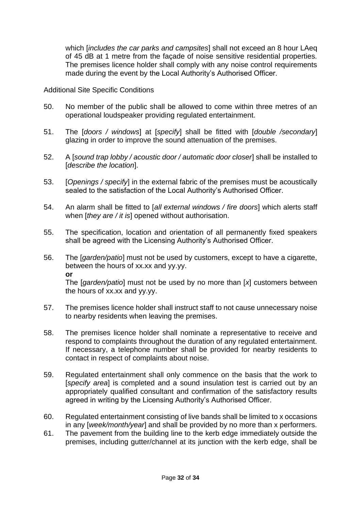which [*includes the car parks and campsites*] shall not exceed an 8 hour LAeq of 45 dB at 1 metre from the façade of noise sensitive residential properties. The premises licence holder shall comply with any noise control requirements made during the event by the Local Authority's Authorised Officer.

#### Additional Site Specific Conditions

- 50. No member of the public shall be allowed to come within three metres of an operational loudspeaker providing regulated entertainment.
- 51. The [*doors / windows*] at [*specify*] shall be fitted with [*double /secondary*] glazing in order to improve the sound attenuation of the premises.
- 52. A [*sound trap lobby / acoustic door / automatic door closer*] shall be installed to [*describe the location*].
- 53. [*Openings / specify*] in the external fabric of the premises must be acoustically sealed to the satisfaction of the Local Authority's Authorised Officer.
- 54. An alarm shall be fitted to [*all external windows / fire doors*] which alerts staff when [*they are / it is*] opened without authorisation.
- 55. The specification, location and orientation of all permanently fixed speakers shall be agreed with the Licensing Authority's Authorised Officer.
- 56. The [*garden/patio*] must not be used by customers, except to have a cigarette, between the hours of xx.xx and yy.yy. **or** The [*garden/patio*] must not be used by no more than [*x*] customers between the hours of xx.xx and yy.yy.
- 57. The premises licence holder shall instruct staff to not cause unnecessary noise to nearby residents when leaving the premises.
- 58. The premises licence holder shall nominate a representative to receive and respond to complaints throughout the duration of any regulated entertainment. If necessary, a telephone number shall be provided for nearby residents to contact in respect of complaints about noise.
- 59. Regulated entertainment shall only commence on the basis that the work to [*specify area*] is completed and a sound insulation test is carried out by an appropriately qualified consultant and confirmation of the satisfactory results agreed in writing by the Licensing Authority's Authorised Officer.
- 60. Regulated entertainment consisting of live bands shall be limited to x occasions in any [*week/month/year*] and shall be provided by no more than x performers.
- 61. The pavement from the building line to the kerb edge immediately outside the premises, including gutter/channel at its junction with the kerb edge, shall be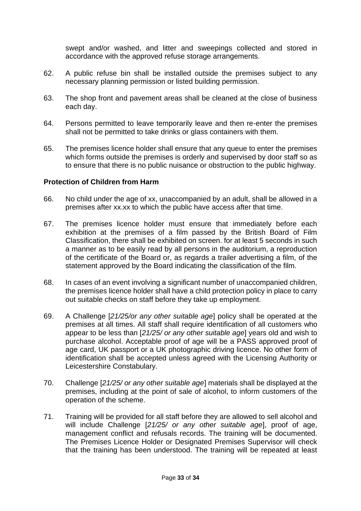swept and/or washed, and litter and sweepings collected and stored in accordance with the approved refuse storage arrangements.

- 62. A public refuse bin shall be installed outside the premises subject to any necessary planning permission or listed building permission.
- 63. The shop front and pavement areas shall be cleaned at the close of business each day.
- 64. Persons permitted to leave temporarily leave and then re-enter the premises shall not be permitted to take drinks or glass containers with them.
- 65. The premises licence holder shall ensure that any queue to enter the premises which forms outside the premises is orderly and supervised by door staff so as to ensure that there is no public nuisance or obstruction to the public highway.

#### **Protection of Children from Harm**

- 66. No child under the age of xx, unaccompanied by an adult, shall be allowed in a premises after xx.xx to which the public have access after that time.
- 67. The premises licence holder must ensure that immediately before each exhibition at the premises of a film passed by the British Board of Film Classification, there shall be exhibited on screen. for at least 5 seconds in such a manner as to be easily read by all persons in the auditorium, a reproduction of the certificate of the Board or, as regards a trailer advertising a film, of the statement approved by the Board indicating the classification of the film.
- 68. In cases of an event involving a significant number of unaccompanied children, the premises licence holder shall have a child protection policy in place to carry out suitable checks on staff before they take up employment.
- 69. A Challenge [*21/25/or any other suitable age*] policy shall be operated at the premises at all times. All staff shall require identification of all customers who appear to be less than [*21/25/ or any other suitable age*] years old and wish to purchase alcohol. Acceptable proof of age will be a PASS approved proof of age card, UK passport or a UK photographic driving licence. No other form of identification shall be accepted unless agreed with the Licensing Authority or Leicestershire Constabulary.
- 70. Challenge [*21/25/ or any other suitable age*] materials shall be displayed at the premises, including at the point of sale of alcohol, to inform customers of the operation of the scheme.
- 71. Training will be provided for all staff before they are allowed to sell alcohol and will include Challenge [*21/25/ or any other suitable age*], proof of age, management conflict and refusals records. The training will be documented. The Premises Licence Holder or Designated Premises Supervisor will check that the training has been understood. The training will be repeated at least